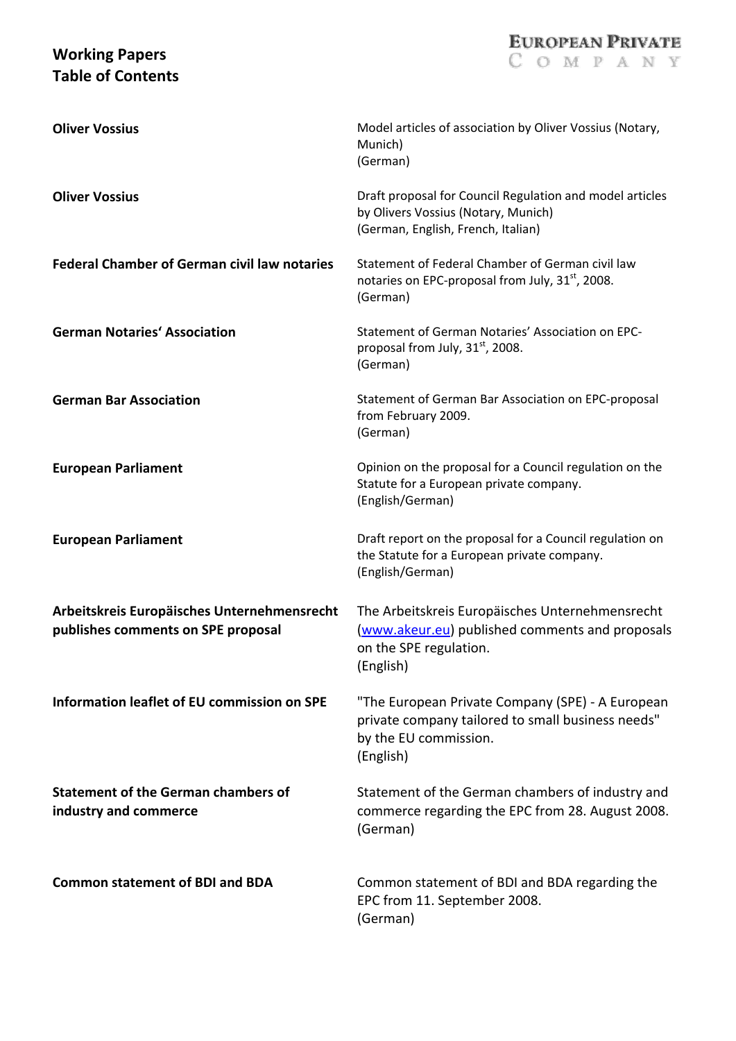## **Working Papers Table of Contents**

| <b>Oliver Vossius</b>                                                             | Model articles of association by Oliver Vossius (Notary,<br>Munich)<br>(German)                                                             |
|-----------------------------------------------------------------------------------|---------------------------------------------------------------------------------------------------------------------------------------------|
| <b>Oliver Vossius</b>                                                             | Draft proposal for Council Regulation and model articles<br>by Olivers Vossius (Notary, Munich)<br>(German, English, French, Italian)       |
| <b>Federal Chamber of German civil law notaries</b>                               | Statement of Federal Chamber of German civil law<br>notaries on EPC-proposal from July, 31 <sup>st</sup> , 2008.<br>(German)                |
| <b>German Notaries' Association</b>                                               | Statement of German Notaries' Association on EPC-<br>proposal from July, 31st, 2008.<br>(German)                                            |
| <b>German Bar Association</b>                                                     | Statement of German Bar Association on EPC-proposal<br>from February 2009.<br>(German)                                                      |
| <b>European Parliament</b>                                                        | Opinion on the proposal for a Council regulation on the<br>Statute for a European private company.<br>(English/German)                      |
| <b>European Parliament</b>                                                        | Draft report on the proposal for a Council regulation on<br>the Statute for a European private company.<br>(English/German)                 |
| Arbeitskreis Europäisches Unternehmensrecht<br>publishes comments on SPE proposal | The Arbeitskreis Europäisches Unternehmensrecht<br>(www.akeur.eu) published comments and proposals<br>on the SPE regulation.<br>(English)   |
| Information leaflet of EU commission on SPE                                       | "The European Private Company (SPE) - A European<br>private company tailored to small business needs"<br>by the EU commission.<br>(English) |
| <b>Statement of the German chambers of</b><br>industry and commerce               | Statement of the German chambers of industry and<br>commerce regarding the EPC from 28. August 2008.<br>(German)                            |
| <b>Common statement of BDI and BDA</b>                                            | Common statement of BDI and BDA regarding the<br>EPC from 11. September 2008.<br>(German)                                                   |